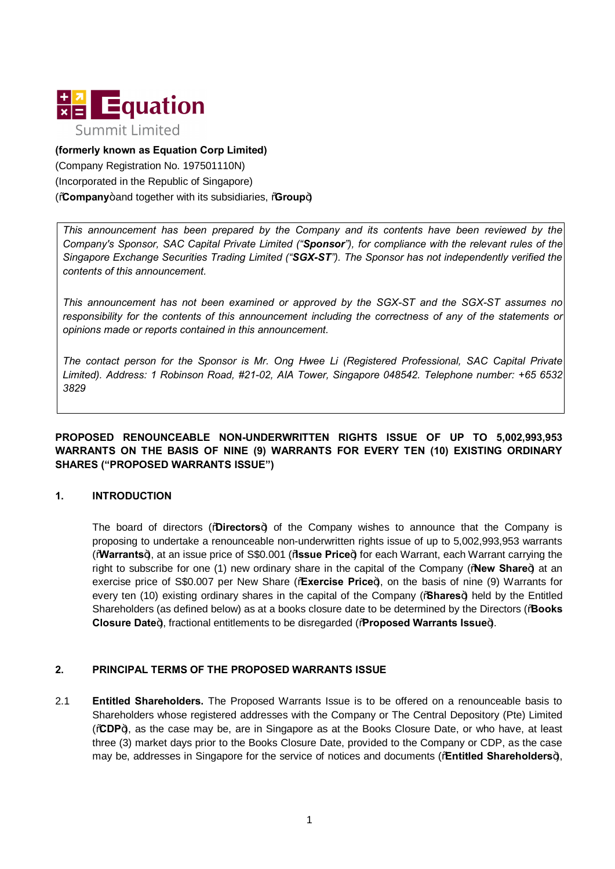

### **(formerly known as Equation Corp Limited)**

(Company Registration No. 197501110N) (Incorporated in the Republic of Singapore) (**Company**+and together with its subsidiaries, **Croup**)

*This announcement has been prepared by the Company and its contents have been reviewed by the Company's Sponsor, SAC Capital Private Limited ("Sponsor"), for compliance with the relevant rules of the Singapore Exchange Securities Trading Limited ("SGX-ST"). The Sponsor has not independently verified the contents of this announcement.*

*This announcement has not been examined or approved by the SGX-ST and the SGX-ST assumes no responsibility for the contents of this announcement including the correctness of any of the statements or opinions made or reports contained in this announcement.*

*The contact person for the Sponsor is Mr. Ong Hwee Li (Registered Professional, SAC Capital Private Limited). Address: 1 Robinson Road, #21-02, AIA Tower, Singapore 048542. Telephone number: +65 6532 3829*

### **PROPOSED RENOUNCEABLE NON-UNDERWRITTEN RIGHTS ISSUE OF UP TO 5,002,993,953 WARRANTS ON THE BASIS OF NINE (9) WARRANTS FOR EVERY TEN (10) EXISTING ORDINARY SHARES ("PROPOSED WARRANTS ISSUE")**

## **1. INTRODUCTION**

The board of directors ("**Directors**") of the Company wishes to announce that the Company is proposing to undertake a renounceable non-underwritten rights issue of up to 5,002,993,953 warrants ("**Warrants**"), at an issue price of S\$0.001 ("**Issue Price**") for each Warrant, each Warrant carrying the right to subscribe for one (1) new ordinary share in the capital of the Company (**"New Share**+) at an exercise price of S\$0.007 per New Share (**Exercise Price**), on the basis of nine (9) Warrants for every ten (10) existing ordinary shares in the capital of the Company (% hares<sup>4</sup>) held by the Entitled Shareholders (as defined below) as at a books closure date to be determined by the Directors ("**Books Closure Date**+), fractional entitlements to be disregarded (%**Rroposed Warrants Issue**+).

#### **2. PRINCIPAL TERMS OF THE PROPOSED WARRANTS ISSUE**

2.1 **Entitled Shareholders.** The Proposed Warrants Issue is to be offered on a renounceable basis to Shareholders whose registered addresses with the Company or The Central Depository (Pte) Limited ("**CDP**"), as the case may be, are in Singapore as at the Books Closure Date, or who have, at least three (3) market days prior to the Books Closure Date, provided to the Company or CDP, as the case may be, addresses in Singapore for the service of notices and documents (**Entitled Shareholders**),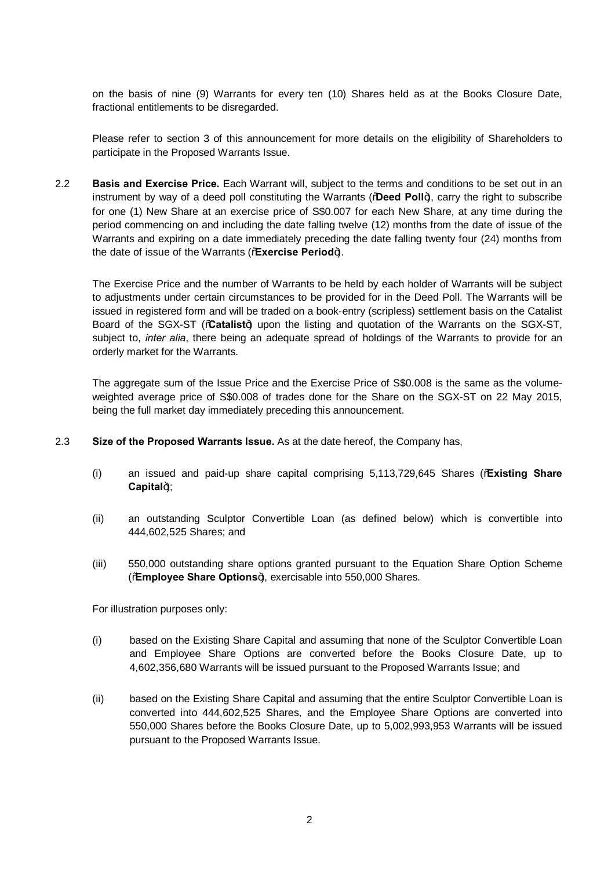on the basis of nine (9) Warrants for every ten (10) Shares held as at the Books Closure Date, fractional entitlements to be disregarded.

Please refer to section 3 of this announcement for more details on the eligibility of Shareholders to participate in the Proposed Warrants Issue.

2.2 **Basis and Exercise Price.** Each Warrant will, subject to the terms and conditions to be set out in an instrument by way of a deed poll constituting the Warrants ("Deed Poll+), carry the right to subscribe for one (1) New Share at an exercise price of S\$0.007 for each New Share, at any time during the period commencing on and including the date falling twelve (12) months from the date of issue of the Warrants and expiring on a date immediately preceding the date falling twenty four (24) months from the date of issue of the Warrants (**Exercise Period**+).

The Exercise Price and the number of Warrants to be held by each holder of Warrants will be subject to adjustments under certain circumstances to be provided for in the Deed Poll. The Warrants will be issued in registered form and will be traded on a book-entry (scripless) settlement basis on the Catalist Board of the SGX-ST (**Catalist**) upon the listing and quotation of the Warrants on the SGX-ST, subject to, *inter alia*, there being an adequate spread of holdings of the Warrants to provide for an orderly market for the Warrants.

The aggregate sum of the Issue Price and the Exercise Price of S\$0.008 is the same as the volumeweighted average price of S\$0.008 of trades done for the Share on the SGX-ST on 22 May 2015, being the full market day immediately preceding this announcement.

- 2.3 **Size of the Proposed Warrants Issue.** As at the date hereof, the Company has,
	- (i) an issued and paid-up share capital comprising 5,113,729,645 Shares ("**Existing Share**  Capital+);
	- (ii) an outstanding Sculptor Convertible Loan (as defined below) which is convertible into 444,602,525 Shares; and
	- (iii) 550,000 outstanding share options granted pursuant to the Equation Share Option Scheme ("**Employee Share Options**"), exercisable into 550,000 Shares.

For illustration purposes only:

- (i) based on the Existing Share Capital and assuming that none of the Sculptor Convertible Loan and Employee Share Options are converted before the Books Closure Date, up to 4,602,356,680 Warrants will be issued pursuant to the Proposed Warrants Issue; and
- (ii) based on the Existing Share Capital and assuming that the entire Sculptor Convertible Loan is converted into 444,602,525 Shares, and the Employee Share Options are converted into 550,000 Shares before the Books Closure Date, up to 5,002,993,953 Warrants will be issued pursuant to the Proposed Warrants Issue.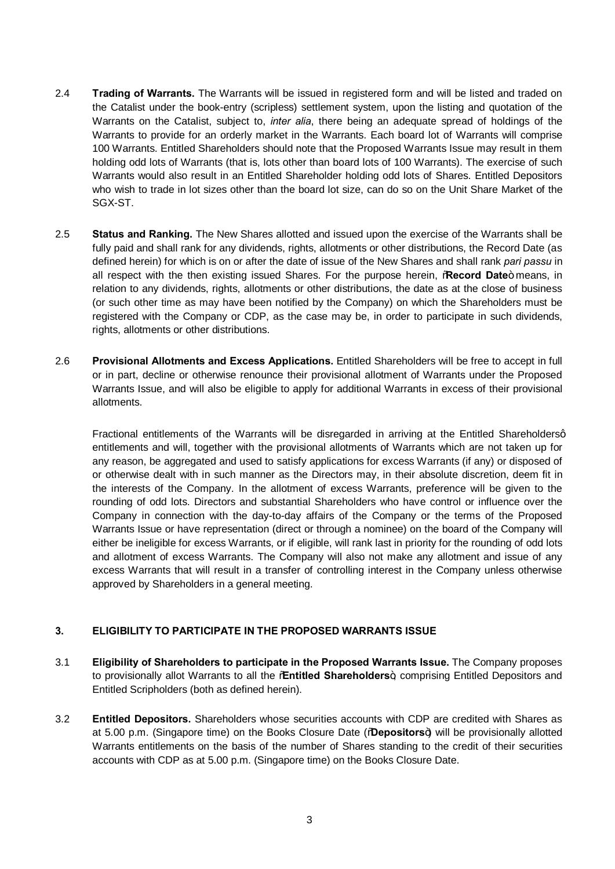- 2.4 **Trading of Warrants.** The Warrants will be issued in registered form and will be listed and traded on the Catalist under the book-entry (scripless) settlement system, upon the listing and quotation of the Warrants on the Catalist, subject to, *inter alia*, there being an adequate spread of holdings of the Warrants to provide for an orderly market in the Warrants. Each board lot of Warrants will comprise 100 Warrants. Entitled Shareholders should note that the Proposed Warrants Issue may result in them holding odd lots of Warrants (that is, lots other than board lots of 100 Warrants). The exercise of such Warrants would also result in an Entitled Shareholder holding odd lots of Shares. Entitled Depositors who wish to trade in lot sizes other than the board lot size, can do so on the Unit Share Market of the SGX-ST.
- 2.5 **Status and Ranking.** The New Shares allotted and issued upon the exercise of the Warrants shall be fully paid and shall rank for any dividends, rights, allotments or other distributions, the Record Date (as defined herein) for which is on or after the date of issue of the New Shares and shall rank *pari passu* in all respect with the then existing issued Shares. For the purpose herein, **Record Date**+ means, in relation to any dividends, rights, allotments or other distributions, the date as at the close of business (or such other time as may have been notified by the Company) on which the Shareholders must be registered with the Company or CDP, as the case may be, in order to participate in such dividends, rights, allotments or other distributions.
- 2.6 **Provisional Allotments and Excess Applications.** Entitled Shareholders will be free to accept in full or in part, decline or otherwise renounce their provisional allotment of Warrants under the Proposed Warrants Issue, and will also be eligible to apply for additional Warrants in excess of their provisional allotments.

Fractional entitlements of the Warrants will be disregarded in arriving at the Entitled Shareholdersg entitlements and will, together with the provisional allotments of Warrants which are not taken up for any reason, be aggregated and used to satisfy applications for excess Warrants (if any) or disposed of or otherwise dealt with in such manner as the Directors may, in their absolute discretion, deem fit in the interests of the Company. In the allotment of excess Warrants, preference will be given to the rounding of odd lots. Directors and substantial Shareholders who have control or influence over the Company in connection with the day-to-day affairs of the Company or the terms of the Proposed Warrants Issue or have representation (direct or through a nominee) on the board of the Company will either be ineligible for excess Warrants, or if eligible, will rank last in priority for the rounding of odd lots and allotment of excess Warrants. The Company will also not make any allotment and issue of any excess Warrants that will result in a transfer of controlling interest in the Company unless otherwise approved by Shareholders in a general meeting.

## **3. ELIGIBILITY TO PARTICIPATE IN THE PROPOSED WARRANTS ISSUE**

- 3.1 **Eligibility of Shareholders to participate in the Proposed Warrants Issue.** The Company proposes to provisionally allot Warrants to all the **%Entitled Shareholders**+, comprising Entitled Depositors and Entitled Scripholders (both as defined herein).
- 3.2 **Entitled Depositors.** Shareholders whose securities accounts with CDP are credited with Shares as at 5.00 p.m. (Singapore time) on the Books Closure Date ("**Depositors**") will be provisionally allotted Warrants entitlements on the basis of the number of Shares standing to the credit of their securities accounts with CDP as at 5.00 p.m. (Singapore time) on the Books Closure Date.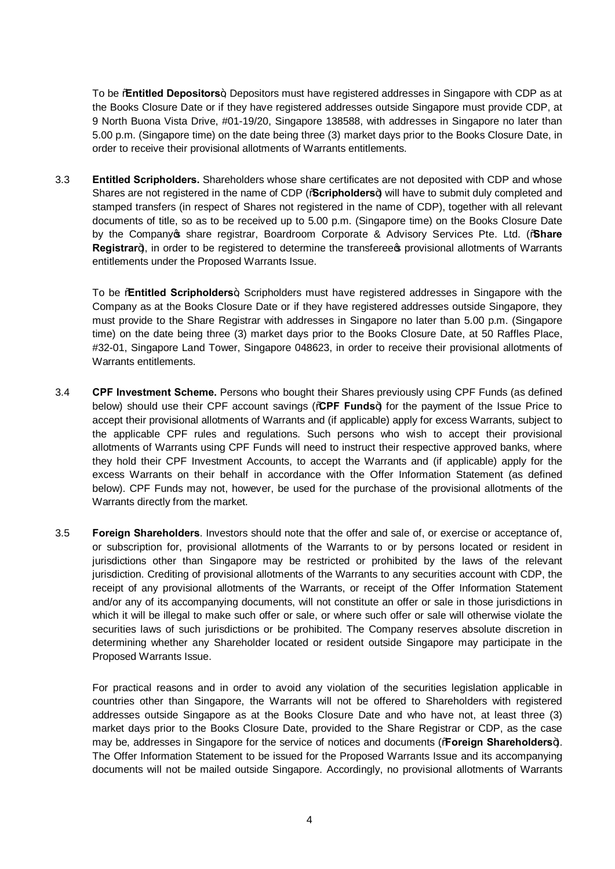To be "**Entitled Depositors**", Depositors must have registered addresses in Singapore with CDP as at the Books Closure Date or if they have registered addresses outside Singapore must provide CDP, at 9 North Buona Vista Drive, #01-19/20, Singapore 138588, with addresses in Singapore no later than 5.00 p.m. (Singapore time) on the date being three (3) market days prior to the Books Closure Date, in order to receive their provisional allotments of Warrants entitlements.

3.3 **Entitled Scripholders.** Shareholders whose share certificates are not deposited with CDP and whose Shares are not registered in the name of CDP (**%Gcripholders**+) will have to submit duly completed and stamped transfers (in respect of Shares not registered in the name of CDP), together with all relevant documents of title, so as to be received up to 5.00 p.m. (Singapore time) on the Books Closure Date by the Company's share registrar, Boardroom Corporate & Advisory Services Pte. Ltd. ("**Share Registrar**<sup>4</sup>), in order to be registered to determine the transferee provisional allotments of Warrants entitlements under the Proposed Warrants Issue.

To be "**Entitled Scripholders**", Scripholders must have registered addresses in Singapore with the Company as at the Books Closure Date or if they have registered addresses outside Singapore, they must provide to the Share Registrar with addresses in Singapore no later than 5.00 p.m. (Singapore time) on the date being three (3) market days prior to the Books Closure Date, at 50 Raffles Place, #32-01, Singapore Land Tower, Singapore 048623, in order to receive their provisional allotments of Warrants entitlements.

- 3.4 **CPF Investment Scheme.** Persons who bought their Shares previously using CPF Funds (as defined below) should use their CPF account savings ("**CPF Funds**") for the payment of the Issue Price to accept their provisional allotments of Warrants and (if applicable) apply for excess Warrants, subject to the applicable CPF rules and regulations. Such persons who wish to accept their provisional allotments of Warrants using CPF Funds will need to instruct their respective approved banks, where they hold their CPF Investment Accounts, to accept the Warrants and (if applicable) apply for the excess Warrants on their behalf in accordance with the Offer Information Statement (as defined below). CPF Funds may not, however, be used for the purchase of the provisional allotments of the Warrants directly from the market.
- 3.5 **Foreign Shareholders**. Investors should note that the offer and sale of, or exercise or acceptance of, or subscription for, provisional allotments of the Warrants to or by persons located or resident in jurisdictions other than Singapore may be restricted or prohibited by the laws of the relevant jurisdiction. Crediting of provisional allotments of the Warrants to any securities account with CDP, the receipt of any provisional allotments of the Warrants, or receipt of the Offer Information Statement and/or any of its accompanying documents, will not constitute an offer or sale in those jurisdictions in which it will be illegal to make such offer or sale, or where such offer or sale will otherwise violate the securities laws of such jurisdictions or be prohibited. The Company reserves absolute discretion in determining whether any Shareholder located or resident outside Singapore may participate in the Proposed Warrants Issue.

For practical reasons and in order to avoid any violation of the securities legislation applicable in countries other than Singapore, the Warrants will not be offered to Shareholders with registered addresses outside Singapore as at the Books Closure Date and who have not, at least three (3) market days prior to the Books Closure Date, provided to the Share Registrar or CDP, as the case may be, addresses in Singapore for the service of notices and documents (**Foreign Shareholders**). The Offer Information Statement to be issued for the Proposed Warrants Issue and its accompanying documents will not be mailed outside Singapore. Accordingly, no provisional allotments of Warrants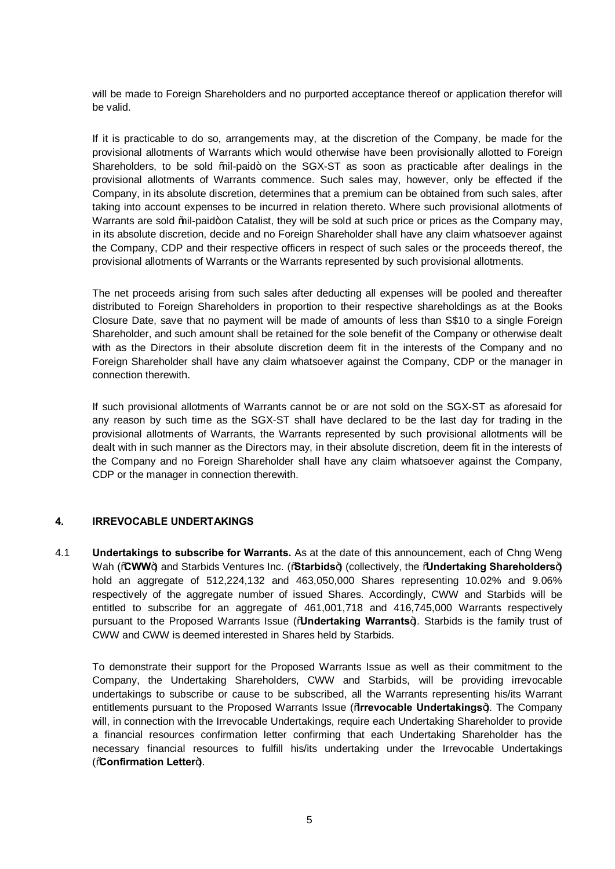will be made to Foreign Shareholders and no purported acceptance thereof or application therefor will be valid.

If it is practicable to do so, arrangements may, at the discretion of the Company, be made for the provisional allotments of Warrants which would otherwise have been provisionally allotted to Foreign Shareholders, to be sold %il-paid+ on the SGX-ST as soon as practicable after dealings in the provisional allotments of Warrants commence. Such sales may, however, only be effected if the Company, in its absolute discretion, determines that a premium can be obtained from such sales, after taking into account expenses to be incurred in relation thereto. Where such provisional allotments of Warrants are sold % il-paid+ on Catalist, they will be sold at such price or prices as the Company may, in its absolute discretion, decide and no Foreign Shareholder shall have any claim whatsoever against the Company, CDP and their respective officers in respect of such sales or the proceeds thereof, the provisional allotments of Warrants or the Warrants represented by such provisional allotments.

The net proceeds arising from such sales after deducting all expenses will be pooled and thereafter distributed to Foreign Shareholders in proportion to their respective shareholdings as at the Books Closure Date, save that no payment will be made of amounts of less than S\$10 to a single Foreign Shareholder, and such amount shall be retained for the sole benefit of the Company or otherwise dealt with as the Directors in their absolute discretion deem fit in the interests of the Company and no Foreign Shareholder shall have any claim whatsoever against the Company, CDP or the manager in connection therewith.

If such provisional allotments of Warrants cannot be or are not sold on the SGX-ST as aforesaid for any reason by such time as the SGX-ST shall have declared to be the last day for trading in the provisional allotments of Warrants, the Warrants represented by such provisional allotments will be dealt with in such manner as the Directors may, in their absolute discretion, deem fit in the interests of the Company and no Foreign Shareholder shall have any claim whatsoever against the Company, CDP or the manager in connection therewith.

#### **4. IRREVOCABLE UNDERTAKINGS**

4.1 **Undertakings to subscribe for Warrants.** As at the date of this announcement, each of Chng Weng Wah (**CWW**) and Starbids Ventures Inc. (**Starbids**) (collectively, the *Mundertaking Shareholders*) hold an aggregate of 512,224,132 and 463,050,000 Shares representing 10.02% and 9.06% respectively of the aggregate number of issued Shares. Accordingly, CWW and Starbids will be entitled to subscribe for an aggregate of 461,001,718 and 416,745,000 Warrants respectively pursuant to the Proposed Warrants Issue ("**Undertaking Warrants**"). Starbids is the family trust of CWW and CWW is deemed interested in Shares held by Starbids.

To demonstrate their support for the Proposed Warrants Issue as well as their commitment to the Company, the Undertaking Shareholders, CWW and Starbids, will be providing irrevocable undertakings to subscribe or cause to be subscribed, all the Warrants representing his/its Warrant entitlements pursuant to the Proposed Warrants Issue ("**Irrevocable Undertakings**"). The Company will, in connection with the Irrevocable Undertakings, require each Undertaking Shareholder to provide a financial resources confirmation letter confirming that each Undertaking Shareholder has the necessary financial resources to fulfill his/its undertaking under the Irrevocable Undertakings (**Confirmation Letter**).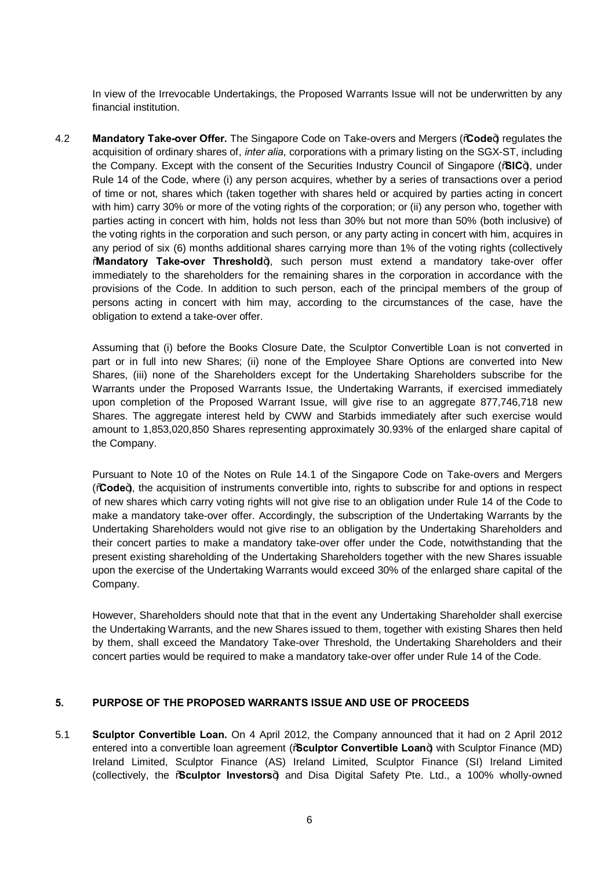In view of the Irrevocable Undertakings, the Proposed Warrants Issue will not be underwritten by any financial institution.

**4.2 Mandatory Take-over Offer.** The Singapore Code on Take-overs and Mergers (**Code**) regulates the acquisition of ordinary shares of, *inter alia*, corporations with a primary listing on the SGX-ST, including the Company. Except with the consent of the Securities Industry Council of Singapore ("**SIC**"), under Rule 14 of the Code, where (i) any person acquires, whether by a series of transactions over a period of time or not, shares which (taken together with shares held or acquired by parties acting in concert with him) carry 30% or more of the voting rights of the corporation; or (ii) any person who, together with parties acting in concert with him, holds not less than 30% but not more than 50% (both inclusive) of the voting rights in the corporation and such person, or any party acting in concert with him, acquires in any period of six (6) months additional shares carrying more than 1% of the voting rights (collectively **Mandatory Take-over Threshold**+), such person must extend a mandatory take-over offer immediately to the shareholders for the remaining shares in the corporation in accordance with the provisions of the Code. In addition to such person, each of the principal members of the group of persons acting in concert with him may, according to the circumstances of the case, have the obligation to extend a take-over offer.

Assuming that (i) before the Books Closure Date, the Sculptor Convertible Loan is not converted in part or in full into new Shares; (ii) none of the Employee Share Options are converted into New Shares, (iii) none of the Shareholders except for the Undertaking Shareholders subscribe for the Warrants under the Proposed Warrants Issue, the Undertaking Warrants, if exercised immediately upon completion of the Proposed Warrant Issue, will give rise to an aggregate 877,746,718 new Shares. The aggregate interest held by CWW and Starbids immediately after such exercise would amount to 1,853,020,850 Shares representing approximately 30.93% of the enlarged share capital of the Company.

Pursuant to Note 10 of the Notes on Rule 14.1 of the Singapore Code on Take-overs and Mergers ("**Code**"), the acquisition of instruments convertible into, rights to subscribe for and options in respect of new shares which carry voting rights will not give rise to an obligation under Rule 14 of the Code to make a mandatory take-over offer. Accordingly, the subscription of the Undertaking Warrants by the Undertaking Shareholders would not give rise to an obligation by the Undertaking Shareholders and their concert parties to make a mandatory take-over offer under the Code, notwithstanding that the present existing shareholding of the Undertaking Shareholders together with the new Shares issuable upon the exercise of the Undertaking Warrants would exceed 30% of the enlarged share capital of the Company.

However, Shareholders should note that that in the event any Undertaking Shareholder shall exercise the Undertaking Warrants, and the new Shares issued to them, together with existing Shares then held by them, shall exceed the Mandatory Take-over Threshold, the Undertaking Shareholders and their concert parties would be required to make a mandatory take-over offer under Rule 14 of the Code.

## **5. PURPOSE OF THE PROPOSED WARRANTS ISSUE AND USE OF PROCEEDS**

5.1 **Sculptor Convertible Loan.** On 4 April 2012, the Company announced that it had on 2 April 2012 entered into a convertible loan agreement (% Sculptor Convertible Loan+) with Sculptor Finance (MD) Ireland Limited, Sculptor Finance (AS) Ireland Limited, Sculptor Finance (SI) Ireland Limited (collectively, the "**Sculptor Investors**") and Disa Digital Safety Pte. Ltd., a 100% wholly-owned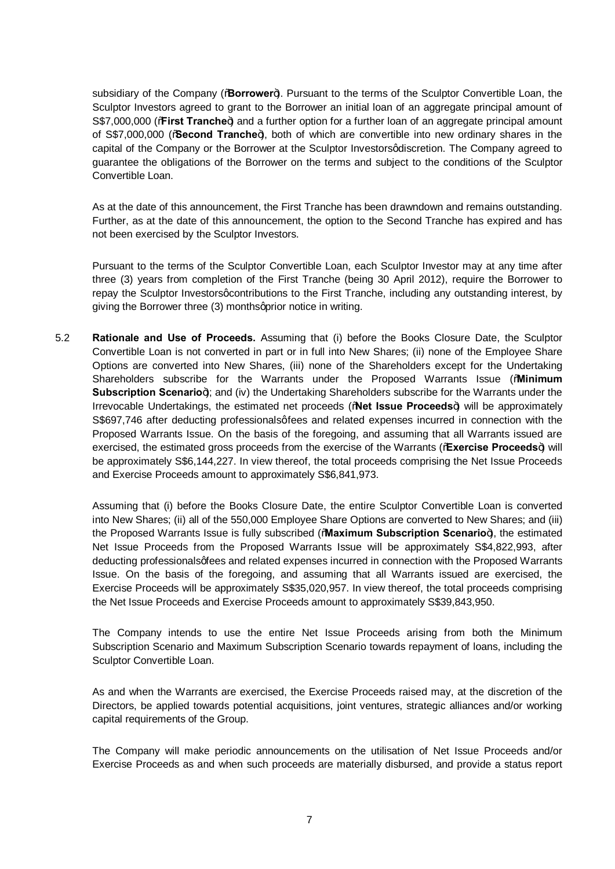subsidiary of the Company (%**Borrower**+). Pursuant to the terms of the Sculptor Convertible Loan, the Sculptor Investors agreed to grant to the Borrower an initial loan of an aggregate principal amount of S\$7,000,000 (**"First Tranche**) and a further option for a further loan of an aggregate principal amount of S\$7,000,000 ("**Second Tranche**"), both of which are convertible into new ordinary shares in the capital of the Company or the Borrower at the Sculptor Investors discretion. The Company agreed to guarantee the obligations of the Borrower on the terms and subject to the conditions of the Sculptor Convertible Loan.

As at the date of this announcement, the First Tranche has been drawndown and remains outstanding. Further, as at the date of this announcement, the option to the Second Tranche has expired and has not been exercised by the Sculptor Investors.

Pursuant to the terms of the Sculptor Convertible Loan, each Sculptor Investor may at any time after three (3) years from completion of the First Tranche (being 30 April 2012), require the Borrower to repay the Sculptor Investorsgcontributions to the First Tranche, including any outstanding interest, by giving the Borrower three (3) monthsqprior notice in writing.

5.2 **Rationale and Use of Proceeds.** Assuming that (i) before the Books Closure Date, the Sculptor Convertible Loan is not converted in part or in full into New Shares; (ii) none of the Employee Share Options are converted into New Shares, (iii) none of the Shareholders except for the Undertaking Shareholders subscribe for the Warrants under the Proposed Warrants Issue ("**Minimum Subscription Scenario**  $\theta$ ; and (iv) the Undertaking Shareholders subscribe for the Warrants under the Irrevocable Undertakings, the estimated net proceeds ("**Net Issue Proceeds**") will be approximately S\$697,746 after deducting professionalsgfees and related expenses incurred in connection with the Proposed Warrants Issue. On the basis of the foregoing, and assuming that all Warrants issued are exercised, the estimated gross proceeds from the exercise of the Warrants ("**Exercise Proceeds**") will be approximately S\$6,144,227. In view thereof, the total proceeds comprising the Net Issue Proceeds and Exercise Proceeds amount to approximately S\$6,841,973.

Assuming that (i) before the Books Closure Date, the entire Sculptor Convertible Loan is converted into New Shares; (ii) all of the 550,000 Employee Share Options are converted to New Shares; and (iii) the Proposed Warrants Issue is fully subscribed ("Maximum Subscription Scenario+), the estimated Net Issue Proceeds from the Proposed Warrants Issue will be approximately S\$4,822,993, after deducting professionalsgfees and related expenses incurred in connection with the Proposed Warrants Issue. On the basis of the foregoing, and assuming that all Warrants issued are exercised, the Exercise Proceeds will be approximately S\$35,020,957. In view thereof, the total proceeds comprising the Net Issue Proceeds and Exercise Proceeds amount to approximately S\$39,843,950.

The Company intends to use the entire Net Issue Proceeds arising from both the Minimum Subscription Scenario and Maximum Subscription Scenario towards repayment of loans, including the Sculptor Convertible Loan.

As and when the Warrants are exercised, the Exercise Proceeds raised may, at the discretion of the Directors, be applied towards potential acquisitions, joint ventures, strategic alliances and/or working capital requirements of the Group.

The Company will make periodic announcements on the utilisation of Net Issue Proceeds and/or Exercise Proceeds as and when such proceeds are materially disbursed, and provide a status report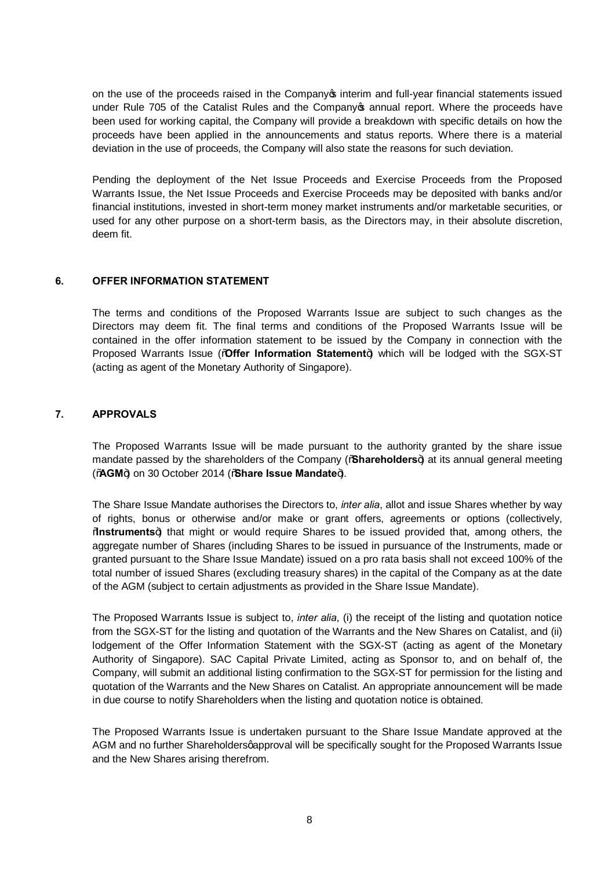on the use of the proceeds raised in the Company op interim and full-year financial statements issued under Rule 705 of the Catalist Rules and the Company annual report. Where the proceeds have been used for working capital, the Company will provide a breakdown with specific details on how the proceeds have been applied in the announcements and status reports. Where there is a material deviation in the use of proceeds, the Company will also state the reasons for such deviation.

Pending the deployment of the Net Issue Proceeds and Exercise Proceeds from the Proposed Warrants Issue, the Net Issue Proceeds and Exercise Proceeds may be deposited with banks and/or financial institutions, invested in short-term money market instruments and/or marketable securities, or used for any other purpose on a short-term basis, as the Directors may, in their absolute discretion, deem fit.

#### **6. OFFER INFORMATION STATEMENT**

The terms and conditions of the Proposed Warrants Issue are subject to such changes as the Directors may deem fit. The final terms and conditions of the Proposed Warrants Issue will be contained in the offer information statement to be issued by the Company in connection with the Proposed Warrants Issue ("**Offer Information Statement**+) which will be lodged with the SGX-ST (acting as agent of the Monetary Authority of Singapore).

#### **7. APPROVALS**

The Proposed Warrants Issue will be made pursuant to the authority granted by the share issue mandate passed by the shareholders of the Company (%**Shareholders**) at its annual general meeting ("AGM+) on 30 October 2014 ("Share Issue Mandate+).

The Share Issue Mandate authorises the Directors to, *inter alia*, allot and issue Shares whether by way of rights, bonus or otherwise and/or make or grant offers, agreements or options (collectively, **Wastruments**<sup>4</sup> that might or would require Shares to be issued provided that, among others, the aggregate number of Shares (including Shares to be issued in pursuance of the Instruments, made or granted pursuant to the Share Issue Mandate) issued on a pro rata basis shall not exceed 100% of the total number of issued Shares (excluding treasury shares) in the capital of the Company as at the date of the AGM (subject to certain adjustments as provided in the Share Issue Mandate).

The Proposed Warrants Issue is subject to, *inter alia*, (i) the receipt of the listing and quotation notice from the SGX-ST for the listing and quotation of the Warrants and the New Shares on Catalist, and (ii) lodgement of the Offer Information Statement with the SGX-ST (acting as agent of the Monetary Authority of Singapore). SAC Capital Private Limited, acting as Sponsor to, and on behalf of, the Company, will submit an additional listing confirmation to the SGX-ST for permission for the listing and quotation of the Warrants and the New Shares on Catalist. An appropriate announcement will be made in due course to notify Shareholders when the listing and quotation notice is obtained.

The Proposed Warrants Issue is undertaken pursuant to the Share Issue Mandate approved at the AGM and no further Shareholdersgapproval will be specifically sought for the Proposed Warrants Issue and the New Shares arising therefrom.